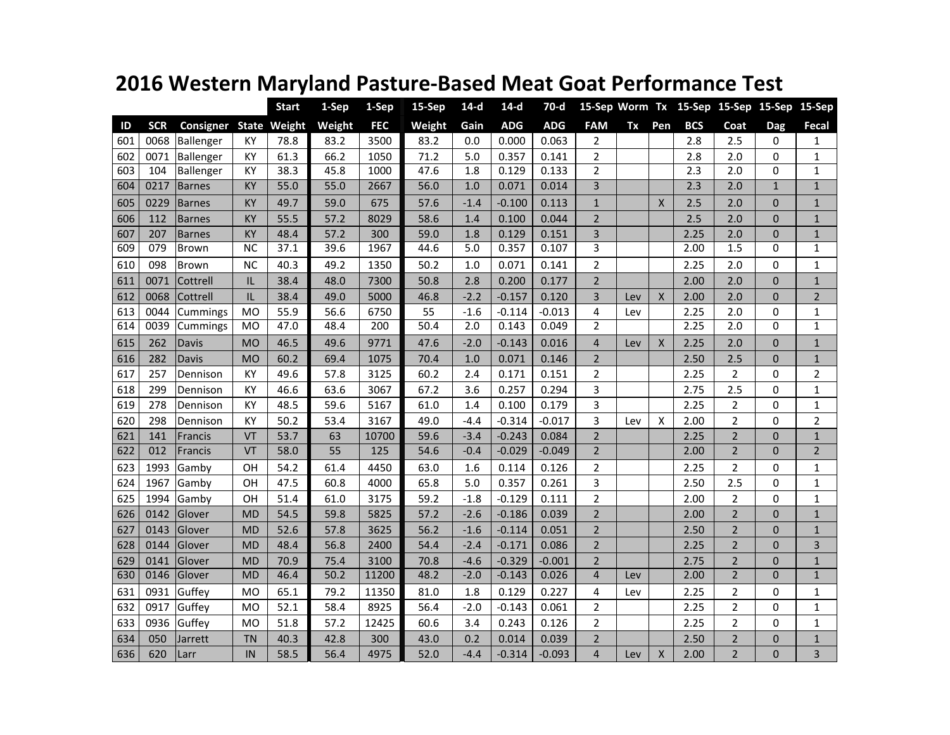|     |            |                 |           | <b>Start</b>        | 1-Sep  | 1-Sep      | 15-Sep | $14-d$ | $14-d$     | 70-d       |                |     |              |            | 15-Sep Worm Tx 15-Sep 15-Sep 15-Sep 15-Sep |              |                |
|-----|------------|-----------------|-----------|---------------------|--------|------------|--------|--------|------------|------------|----------------|-----|--------------|------------|--------------------------------------------|--------------|----------------|
| ID  | <b>SCR</b> | Consigner       |           | <b>State Weight</b> | Weight | <b>FEC</b> | Weight | Gain   | <b>ADG</b> | <b>ADG</b> | <b>FAM</b>     | Tx  | Pen          | <b>BCS</b> | Coat                                       | <b>Dag</b>   | Fecal          |
| 601 | 0068       | Ballenger       | KY        | 78.8                | 83.2   | 3500       | 83.2   | 0.0    | 0.000      | 0.063      | $\overline{2}$ |     |              | 2.8        | 2.5                                        | $\Omega$     | 1              |
| 602 | 0071       | Ballenger       | KY        | 61.3                | 66.2   | 1050       | 71.2   | 5.0    | 0.357      | 0.141      | $\overline{2}$ |     |              | 2.8        | 2.0                                        | $\Omega$     | $\mathbf{1}$   |
| 603 | 104        | Ballenger       | KY        | 38.3                | 45.8   | 1000       | 47.6   | 1.8    | 0.129      | 0.133      | $\overline{2}$ |     |              | 2.3        | 2.0                                        | $\Omega$     | $\mathbf{1}$   |
| 604 | 0217       | <b>Barnes</b>   | KY        | 55.0                | 55.0   | 2667       | 56.0   | 1.0    | 0.071      | 0.014      | 3              |     |              | 2.3        | 2.0                                        | $\mathbf{1}$ | $\mathbf{1}$   |
| 605 | 0229       | Barnes          | KY        | 49.7                | 59.0   | 675        | 57.6   | $-1.4$ | $-0.100$   | 0.113      | $\mathbf{1}$   |     | Χ            | 2.5        | 2.0                                        | $\mathbf 0$  | $\mathbf{1}$   |
| 606 | 112        | <b>Barnes</b>   | KY        | 55.5                | 57.2   | 8029       | 58.6   | 1.4    | 0.100      | 0.044      | $\overline{2}$ |     |              | 2.5        | 2.0                                        | $\mathbf 0$  | $\mathbf{1}$   |
| 607 | 207        | <b>Barnes</b>   | ΚY        | 48.4                | 57.2   | 300        | 59.0   | 1.8    | 0.129      | 0.151      | 3              |     |              | 2.25       | 2.0                                        | $\Omega$     | $\mathbf{1}$   |
| 609 | 079        | Brown           | <b>NC</b> | 37.1                | 39.6   | 1967       | 44.6   | 5.0    | 0.357      | 0.107      | 3              |     |              | 2.00       | 1.5                                        | $\Omega$     | $\mathbf{1}$   |
| 610 | 098        | <b>Brown</b>    | <b>NC</b> | 40.3                | 49.2   | 1350       | 50.2   | 1.0    | 0.071      | 0.141      | $\overline{2}$ |     |              | 2.25       | 2.0                                        | $\Omega$     | $\mathbf{1}$   |
| 611 | 0071       | Cottrell        | IL        | 38.4                | 48.0   | 7300       | 50.8   | 2.8    | 0.200      | 0.177      | $\overline{2}$ |     |              | 2.00       | 2.0                                        | $\Omega$     | $\mathbf{1}$   |
| 612 | 0068       | Cottrell        | IL        | 38.4                | 49.0   | 5000       | 46.8   | $-2.2$ | $-0.157$   | 0.120      | 3              | Lev | X            | 2.00       | 2.0                                        | $\mathbf 0$  | $\overline{2}$ |
| 613 | 0044       | Cummings        | <b>MO</b> | 55.9                | 56.6   | 6750       | 55     | $-1.6$ | $-0.114$   | $-0.013$   | 4              | Lev |              | 2.25       | 2.0                                        | $\mathbf 0$  | $\mathbf{1}$   |
| 614 | 0039       | <b>Cummings</b> | <b>MO</b> | 47.0                | 48.4   | 200        | 50.4   | 2.0    | 0.143      | 0.049      | $\overline{2}$ |     |              | 2.25       | 2.0                                        | $\Omega$     | $\mathbf{1}$   |
| 615 | 262        | <b>Davis</b>    | <b>MO</b> | 46.5                | 49.6   | 9771       | 47.6   | $-2.0$ | $-0.143$   | 0.016      | $\overline{4}$ | Lev | $\mathsf{x}$ | 2.25       | 2.0                                        | $\mathbf{0}$ | $\mathbf{1}$   |
| 616 | 282        | <b>Davis</b>    | <b>MO</b> | 60.2                | 69.4   | 1075       | 70.4   | 1.0    | 0.071      | 0.146      | $\overline{2}$ |     |              | 2.50       | 2.5                                        | $\mathbf 0$  | $\mathbf{1}$   |
| 617 | 257        | Dennison        | KY        | 49.6                | 57.8   | 3125       | 60.2   | 2.4    | 0.171      | 0.151      | $\overline{2}$ |     |              | 2.25       | $\overline{2}$                             | $\Omega$     | $\overline{2}$ |
| 618 | 299        | Dennison        | KY        | 46.6                | 63.6   | 3067       | 67.2   | 3.6    | 0.257      | 0.294      | 3              |     |              | 2.75       | 2.5                                        | $\mathbf 0$  | $\mathbf{1}$   |
| 619 | 278        | Dennison        | KY        | 48.5                | 59.6   | 5167       | 61.0   | 1.4    | 0.100      | 0.179      | 3              |     |              | 2.25       | $\overline{2}$                             | $\mathbf 0$  | $\mathbf{1}$   |
| 620 | 298        | Dennison        | KY        | 50.2                | 53.4   | 3167       | 49.0   | $-4.4$ | $-0.314$   | $-0.017$   | 3              | Lev | X            | 2.00       | $\overline{2}$                             | $\Omega$     | $\overline{2}$ |
| 621 | 141        | Francis         | VT        | 53.7                | 63     | 10700      | 59.6   | $-3.4$ | $-0.243$   | 0.084      | $\overline{2}$ |     |              | 2.25       | $\overline{2}$                             | $\mathbf{0}$ | $\mathbf{1}$   |
| 622 | 012        | Francis         | VT        | 58.0                | 55     | 125        | 54.6   | $-0.4$ | $-0.029$   | $-0.049$   | $\overline{2}$ |     |              | 2.00       | $\overline{2}$                             | $\mathbf{0}$ | $\overline{2}$ |
| 623 | 1993       | Gamby           | OH        | 54.2                | 61.4   | 4450       | 63.0   | 1.6    | 0.114      | 0.126      | $\overline{2}$ |     |              | 2.25       | $\overline{2}$                             | $\Omega$     | $\mathbf{1}$   |
| 624 | 1967       | Gamby           | OH        | 47.5                | 60.8   | 4000       | 65.8   | 5.0    | 0.357      | 0.261      | 3              |     |              | 2.50       | 2.5                                        | $\mathbf 0$  | $\mathbf{1}$   |
| 625 | 1994       | Gamby           | OH        | 51.4                | 61.0   | 3175       | 59.2   | $-1.8$ | $-0.129$   | 0.111      | $\overline{2}$ |     |              | 2.00       | $\overline{2}$                             | 0            | $\mathbf{1}$   |
| 626 | 0142       | Glover          | <b>MD</b> | 54.5                | 59.8   | 5825       | 57.2   | $-2.6$ | $-0.186$   | 0.039      | $\overline{2}$ |     |              | 2.00       | $\overline{2}$                             | $\Omega$     | $\mathbf{1}$   |
| 627 | 0143       | Glover          | <b>MD</b> | 52.6                | 57.8   | 3625       | 56.2   | $-1.6$ | $-0.114$   | 0.051      | $\overline{2}$ |     |              | 2.50       | $\overline{2}$                             | $\Omega$     | $\mathbf{1}$   |
| 628 | 0144       | Glover          | MD        | 48.4                | 56.8   | 2400       | 54.4   | $-2.4$ | $-0.171$   | 0.086      | $\overline{2}$ |     |              | 2.25       | $\overline{2}$                             | $\Omega$     | 3              |
| 629 | 0141       | Glover          | MD        | 70.9                | 75.4   | 3100       | 70.8   | $-4.6$ | $-0.329$   | $-0.001$   | $\overline{2}$ |     |              | 2.75       | $\overline{2}$                             | $\mathbf 0$  | $\mathbf{1}$   |
| 630 | 0146       | Glover          | <b>MD</b> | 46.4                | 50.2   | 11200      | 48.2   | $-2.0$ | $-0.143$   | 0.026      | $\overline{4}$ | Lev |              | 2.00       | $\overline{2}$                             | $\Omega$     | $\mathbf{1}$   |
| 631 | 0931       | Guffey          | M0        | 65.1                | 79.2   | 11350      | 81.0   | 1.8    | 0.129      | 0.227      | 4              | Lev |              | 2.25       | $\overline{2}$                             | $\Omega$     | $\mathbf{1}$   |
| 632 | 0917       | Guffey          | MO        | 52.1                | 58.4   | 8925       | 56.4   | $-2.0$ | $-0.143$   | 0.061      | $\overline{2}$ |     |              | 2.25       | $\overline{2}$                             | $\Omega$     | $\mathbf{1}$   |
| 633 | 0936       | Guffey          | MO        | 51.8                | 57.2   | 12425      | 60.6   | 3.4    | 0.243      | 0.126      | $\overline{2}$ |     |              | 2.25       | $\overline{2}$                             | $\Omega$     | $\mathbf{1}$   |
| 634 | 050        | Jarrett         | <b>TN</b> | 40.3                | 42.8   | 300        | 43.0   | 0.2    | 0.014      | 0.039      | $\overline{2}$ |     |              | 2.50       | 2                                          | $\mathbf 0$  | $\mathbf{1}$   |
| 636 | 620        | Larr            | IN        | 58.5                | 56.4   | 4975       | 52.0   | $-4.4$ | $-0.314$   | $-0.093$   | $\overline{4}$ | Lev | X            | 2.00       | $\overline{2}$                             | $\mathbf{0}$ | 3              |

## **2016 Western Maryland Pasture-Based Meat Goat Performance Test**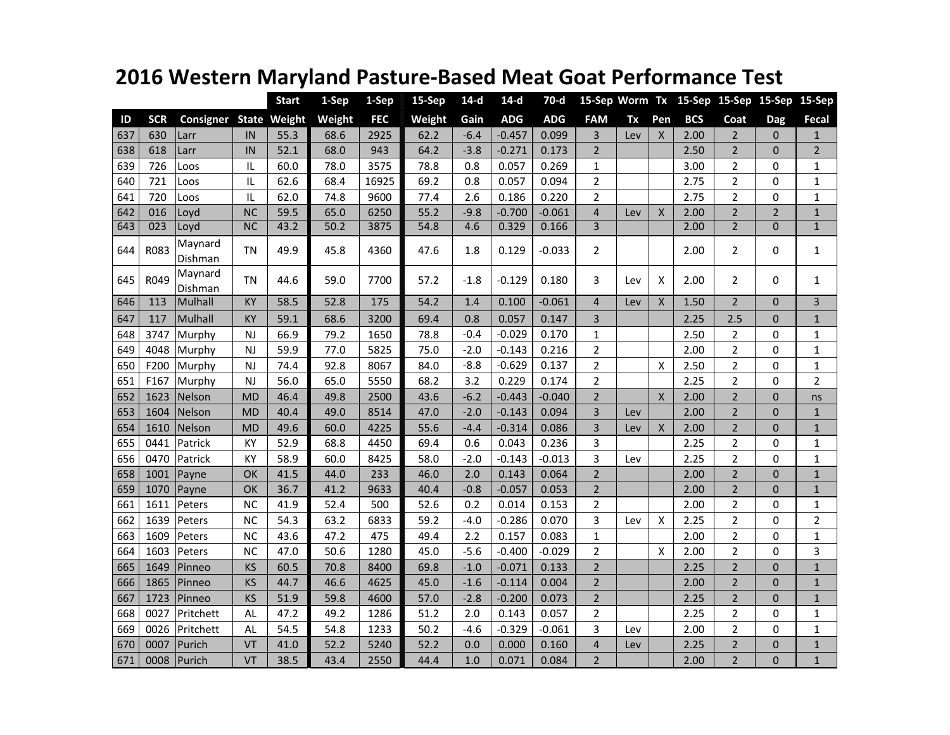## **2016 Western Maryland Pasture-Based Meat Goat Performance Test**

|     |            |                    |           | <b>Start</b>        | 1-Sep  | 1-Sep      | 15-Sep | $14-d$ | $14-d$     | $70-d$     |                         |     |                           |            | 15-Sep Worm Tx 15-Sep 15-Sep 15-Sep 15-Sep |              |                |
|-----|------------|--------------------|-----------|---------------------|--------|------------|--------|--------|------------|------------|-------------------------|-----|---------------------------|------------|--------------------------------------------|--------------|----------------|
| ID  | <b>SCR</b> | Consigner          |           | <b>State Weight</b> | Weight | <b>FEC</b> | Weight | Gain   | <b>ADG</b> | <b>ADG</b> | <b>FAM</b>              | Tx  | Pen                       | <b>BCS</b> | Coat                                       | Dag          | <b>Fecal</b>   |
| 637 | 630        | Larr               | IN        | 55.3                | 68.6   | 2925       | 62.2   | $-6.4$ | $-0.457$   | 0.099      | 3                       | Lev | X                         | 2.00       | $\overline{2}$                             | $\mathbf{0}$ | $\mathbf{1}$   |
| 638 | 618        | Larr               | IN        | 52.1                | 68.0   | 943        | 64.2   | $-3.8$ | $-0.271$   | 0.173      | $\overline{2}$          |     |                           | 2.50       | $\mathbf 2$                                | $\mathbf{0}$ | $\overline{2}$ |
| 639 | 726        | Loos               | IL        | 60.0                | 78.0   | 3575       | 78.8   | 0.8    | 0.057      | 0.269      | 1                       |     |                           | 3.00       | $\overline{2}$                             | 0            | $\mathbf{1}$   |
| 640 | 721        | Loos               | IL        | 62.6                | 68.4   | 16925      | 69.2   | 0.8    | 0.057      | 0.094      | $\overline{2}$          |     |                           | 2.75       | $\overline{2}$                             | 0            | $\mathbf{1}$   |
| 641 | 720        | Loos               | $\sf IL$  | 62.0                | 74.8   | 9600       | 77.4   | 2.6    | 0.186      | 0.220      | $\overline{2}$          |     |                           | 2.75       | $\overline{2}$                             | 0            | $\mathbf{1}$   |
| 642 | 016        | Loyd               | <b>NC</b> | 59.5                | 65.0   | 6250       | 55.2   | $-9.8$ | $-0.700$   | $-0.061$   | $\overline{\mathbf{4}}$ | Lev | X                         | 2.00       | $\mathbf 2$                                | $\mathbf 2$  | $\mathbf 1$    |
| 643 | 023        | Loyd               | <b>NC</b> | 43.2                | 50.2   | 3875       | 54.8   | 4.6    | 0.329      | 0.166      | $\overline{3}$          |     |                           | 2.00       | $\overline{2}$                             | $\Omega$     | $\mathbf{1}$   |
| 644 | R083       | Maynard<br>Dishman | TN        | 49.9                | 45.8   | 4360       | 47.6   | 1.8    | 0.129      | $-0.033$   | $\overline{2}$          |     |                           | 2.00       | $\overline{2}$                             | 0            | $\mathbf{1}$   |
| 645 | R049       | Maynard<br>Dishman | <b>TN</b> | 44.6                | 59.0   | 7700       | 57.2   | $-1.8$ | $-0.129$   | 0.180      | 3                       | Lev | X                         | 2.00       | $\overline{2}$                             | 0            | $\mathbf{1}$   |
| 646 | 113        | Mulhall            | KY        | 58.5                | 52.8   | 175        | 54.2   | 1.4    | 0.100      | $-0.061$   | $\overline{4}$          | Lev | $\pmb{\times}$            | 1.50       | $\overline{2}$                             | $\mathbf{0}$ | 3              |
| 647 | 117        | Mulhall            | KY        | 59.1                | 68.6   | 3200       | 69.4   | 0.8    | 0.057      | 0.147      | 3                       |     |                           | 2.25       | 2.5                                        | $\mathbf{0}$ | $\mathbf{1}$   |
| 648 | 3747       | Murphy             | NJ        | 66.9                | 79.2   | 1650       | 78.8   | $-0.4$ | $-0.029$   | 0.170      | $\mathbf 1$             |     |                           | 2.50       | 2                                          | 0            | 1              |
| 649 | 4048       | Murphy             | NJ        | 59.9                | 77.0   | 5825       | 75.0   | $-2.0$ | $-0.143$   | 0.216      | $\overline{2}$          |     |                           | 2.00       | $\mathbf 2$                                | 0            | 1              |
| 650 | F200       | Murphy             | NJ        | 74.4                | 92.8   | 8067       | 84.0   | $-8.8$ | $-0.629$   | 0.137      | $\overline{2}$          |     | X                         | 2.50       | $\overline{2}$                             | 0            | 1              |
| 651 | F167       | Murphy             | <b>NJ</b> | 56.0                | 65.0   | 5550       | 68.2   | 3.2    | 0.229      | 0.174      | $\overline{2}$          |     |                           | 2.25       | $\overline{2}$                             | 0            | $\overline{2}$ |
| 652 | 1623       | Nelson             | <b>MD</b> | 46.4                | 49.8   | 2500       | 43.6   | $-6.2$ | $-0.443$   | $-0.040$   | $\overline{2}$          |     | $\boldsymbol{\mathsf{X}}$ | 2.00       | $\overline{2}$                             | $\mathbf{0}$ | ns             |
| 653 | 1604       | Nelson             | <b>MD</b> | 40.4                | 49.0   | 8514       | 47.0   | $-2.0$ | $-0.143$   | 0.094      | 3                       | Lev |                           | 2.00       | $\overline{2}$                             | $\mathbf 0$  | $\mathbf{1}$   |
| 654 | 1610       | Nelson             | <b>MD</b> | 49.6                | 60.0   | 4225       | 55.6   | $-4.4$ | $-0.314$   | 0.086      | 3                       | Lev | $\mathsf{X}$              | 2.00       | $\mathbf 2$                                | $\mathbf{0}$ | $\mathbf{1}$   |
| 655 | 0441       | Patrick            | KY        | 52.9                | 68.8   | 4450       | 69.4   | 0.6    | 0.043      | 0.236      | 3                       |     |                           | 2.25       | $\overline{2}$                             | 0            | 1              |
| 656 | 0470       | Patrick            | KY        | 58.9                | 60.0   | 8425       | 58.0   | $-2.0$ | $-0.143$   | $-0.013$   | 3                       | Lev |                           | 2.25       | $\overline{2}$                             | 0            | $\mathbf{1}$   |
| 658 | 1001       | Payne              | OK        | 41.5                | 44.0   | 233        | 46.0   | 2.0    | 0.143      | 0.064      | $\overline{2}$          |     |                           | 2.00       | $\overline{2}$                             | $\mathbf 0$  | $\mathbf{1}$   |
| 659 | 1070       | Payne              | OK        | 36.7                | 41.2   | 9633       | 40.4   | $-0.8$ | $-0.057$   | 0.053      | $\overline{2}$          |     |                           | 2.00       | $\overline{2}$                             | $\mathbf 0$  | $\mathbf{1}$   |
| 661 | 1611       | Peters             | <b>NC</b> | 41.9                | 52.4   | 500        | 52.6   | 0.2    | 0.014      | 0.153      | $\overline{2}$          |     |                           | 2.00       | $\overline{2}$                             | 0            | $\mathbf{1}$   |
| 662 | 1639       | Peters             | <b>NC</b> | 54.3                | 63.2   | 6833       | 59.2   | $-4.0$ | $-0.286$   | 0.070      | 3                       | Lev | X                         | 2.25       | $\overline{2}$                             | $\Omega$     | $\overline{2}$ |
| 663 | 1609       | Peters             | <b>NC</b> | 43.6                | 47.2   | 475        | 49.4   | 2.2    | 0.157      | 0.083      | $\mathbf 1$             |     |                           | 2.00       | $\overline{2}$                             | 0            | $\mathbf{1}$   |
| 664 | 1603       | Peters             | <b>NC</b> | 47.0                | 50.6   | 1280       | 45.0   | $-5.6$ | $-0.400$   | $-0.029$   | $\overline{2}$          |     | Χ                         | 2.00       | $\overline{2}$                             | 0            | 3              |
| 665 | 1649       | Pinneo             | KS        | 60.5                | 70.8   | 8400       | 69.8   | $-1.0$ | $-0.071$   | 0.133      | $\overline{2}$          |     |                           | 2.25       | $\overline{2}$                             | $\mathbf{0}$ | $\mathbf{1}$   |
| 666 | 1865       | Pinneo             | KS        | 44.7                | 46.6   | 4625       | 45.0   | $-1.6$ | $-0.114$   | 0.004      | $\overline{2}$          |     |                           | 2.00       | $\overline{2}$                             | $\mathbf 0$  | $\mathbf 1$    |
| 667 | 1723       | Pinneo             | KS        | 51.9                | 59.8   | 4600       | 57.0   | $-2.8$ | $-0.200$   | 0.073      | $\overline{2}$          |     |                           | 2.25       | $\overline{2}$                             | $\mathbf{0}$ | $\mathbf 1$    |
| 668 | 0027       | Pritchett          | <b>AL</b> | 47.2                | 49.2   | 1286       | 51.2   | 2.0    | 0.143      | 0.057      | $\overline{2}$          |     |                           | 2.25       | $\overline{2}$                             | 0            | $\mathbf 1$    |
| 669 | 0026       | Pritchett          | AL        | 54.5                | 54.8   | 1233       | 50.2   | $-4.6$ | $-0.329$   | $-0.061$   | 3                       | Lev |                           | 2.00       | $\overline{2}$                             | 0            | $\mathbf{1}$   |
| 670 | 0007       | Purich             | VT        | 41.0                | 52.2   | 5240       | 52.2   | 0.0    | 0.000      | 0.160      | $\overline{\mathbf{4}}$ | Lev |                           | 2.25       | $\mathbf 2$                                | $\pmb{0}$    | $\mathbf 1$    |
| 671 | 0008       | Purich             | VT        | 38.5                | 43.4   | 2550       | 44.4   | 1.0    | 0.071      | 0.084      | $\overline{2}$          |     |                           | 2.00       | $\overline{2}$                             | $\mathbf{0}$ | $\mathbf{1}$   |